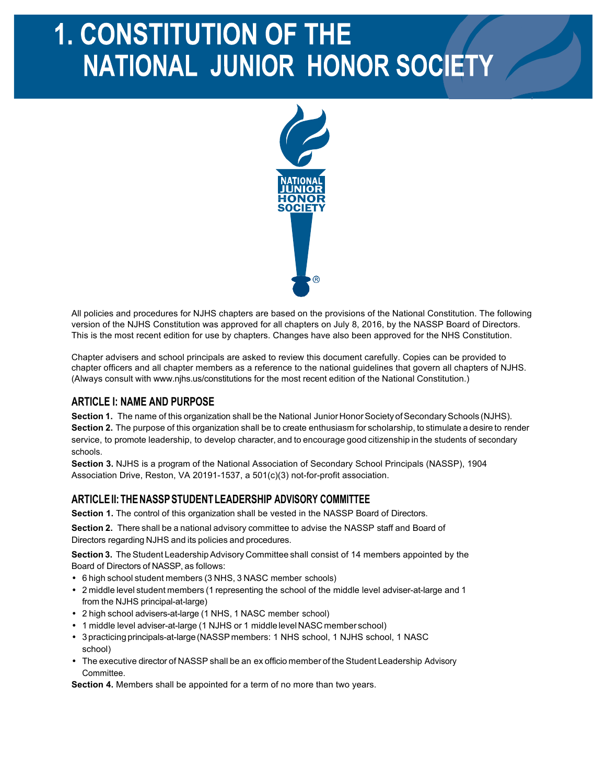# **1. CONSTITUTION OF THE** NATIONAL JUNIOR HONOR SOCIETY



All policies and procedures for NJHS chapters are based on the provisions of the National Constitution. The following version of the NJHS Constitution was approved for all chapters on July 8, 2016, by the NASSP Board of Directors. This is the most recent edition for use by chapters. Changes have also been approved for the NHS Constitution.

Chapter advisers and school principals are asked to review this document carefully. Copies can be provided to chapter officers and all chapter members as a reference to the national guidelines that govern all chapters of NJHS. (Always consult with www.njhs.us/constitutions for the most recent edition of the National Constitution.)

# **ARTICLE I: NAME AND PURPOSE**

**Section 1.** The name of this organization shall be the National Junior Honor Society of Secondary Schools (NJHS). **Section 2.** The purpose of this organization shall be to create enthusiasm for scholarship, to stimulate a desire to render service, to promote leadership, to develop character, and to encourage good citizenship in the students of secondary schools.

**Section 3.** NJHS is a program of the National Association of Secondary School Principals (NASSP), 1904 Association Drive, Reston, VA 20191-1537, a 501(c)(3) not-for-profit association.

### **ARTICLEII:THENASSPSTUDENTLEADERSHIP ADVISORY COMMITTEE**

**Section 1.** The control of this organization shall be vested in the NASSP Board of Directors.

**Section 2.** There shall be a national advisory committee to advise the NASSP staff and Board of Directors regarding NJHS and its policies and procedures.

**Section 3.** The Student LeadershipAdvisory Committee shall consist of 14 members appointed by the Board of Directors of NASSP, as follows:

- 6 high school student members (3 NHS, 3 NASC member schools)
- 2 middle level student members (1 representing the school of the middle level adviser-at-large and 1 from the NJHS principal-at-large)
- 2 high school advisers-at-large (1 NHS, 1 NASC member school)
- 1 middle level adviser-at-large (1 NJHS or 1 middle levelNASC member school)
- 3 practicing principals-at-large(NASSP members: 1 NHS school, 1 NJHS school, 1 NASC school)
- The executive director of NASSP shall be an ex officio member of the Student Leadership Advisory Committee.

**Section 4.** Members shall be appointed for a term of no more than two years.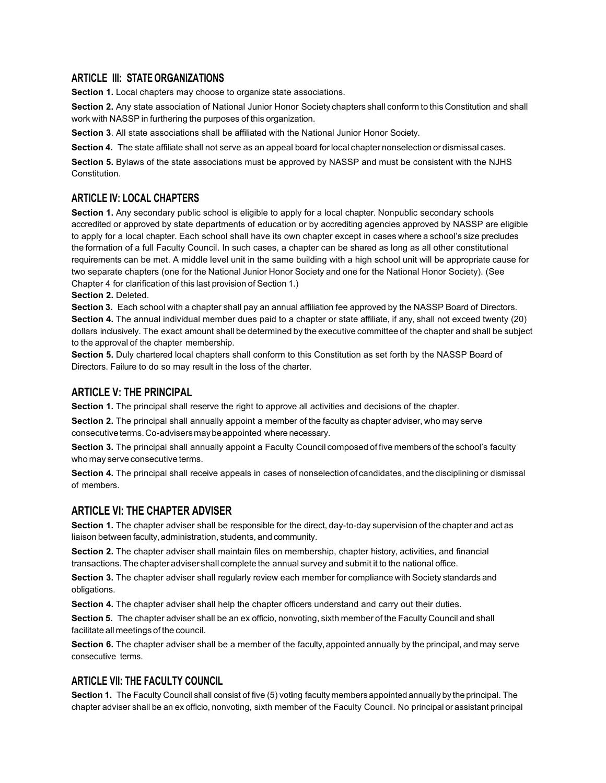#### **ARTICLE III: STATE ORGANIZATIONS**

**Section 1.** Local chapters may choose to organize state associations.

**Section 2.** Any state association of National Junior Honor Society chapters shall conform to this Constitution and shall work with NASSP in furthering the purposes of this organization.

**Section 3**. All state associations shall be affiliated with the National Junior Honor Society.

**Section 4.** The state affiliate shall not serve as an appeal board forlocal chapter nonselection or dismissal cases.

**Section 5.** Bylaws of the state associations must be approved by NASSP and must be consistent with the NJHS Constitution.

### **ARTICLE IV: LOCAL CHAPTERS**

**Section 1.** Any secondary public school is eligible to apply for a local chapter. Nonpublic secondary schools accredited or approved by state departments of education or by accrediting agencies approved by NASSP are eligible to apply for a local chapter. Each school shall have its own chapter except in cases where a school's size precludes the formation of a full Faculty Council. In such cases, a chapter can be shared as long as all other constitutional requirements can be met. A middle level unit in the same building with a high school unit will be appropriate cause for two separate chapters (one for the National Junior Honor Society and one for the National Honor Society). (See Chapter 4 for clarification of this last provision of Section 1.)

**Section 2.** Deleted.

**Section 3.** Each school with a chapter shall pay an annual affiliation fee approved by the NASSP Board of Directors. **Section 4.** The annual individual member dues paid to a chapter or state affiliate, if any, shall not exceed twenty (20) dollars inclusively. The exact amount shall be determined by the executive committee of the chapter and shall be subject to the approval of the chapter membership.

**Section 5.** Duly chartered local chapters shall conform to this Constitution as set forth by the NASSP Board of Directors. Failure to do so may result in the loss of the charter.

#### **ARTICLE V: THE PRINCIPAL**

Section 1. The principal shall reserve the right to approve all activities and decisions of the chapter.

**Section 2.** The principal shall annually appoint a member of the faculty as chapter adviser, who may serve consecutive terms. Co-advisers may be appointed where necessary.

**Section 3.** The principal shall annually appoint a Faculty Council composed of five members of the school's faculty who may serve consecutive terms.

**Section 4.** The principal shall receive appeals in cases of nonselection of candidates, and the disciplining or dismissal of members.

### **ARTICLE VI: THE CHAPTER ADVISER**

**Section 1.** The chapter adviser shall be responsible for the direct, day-to-day supervision of the chapter and act as liaison between faculty, administration, students, and community.

**Section 2.** The chapter adviser shall maintain files on membership, chapter history, activities, and financial transactions.The chapter adviser shall complete the annual survey and submit it to the national office.

**Section 3.** The chapter adviser shall regularly review each member for compliance with Society standards and obligations.

**Section 4.** The chapter adviser shall help the chapter officers understand and carry out their duties.

**Section 5.** The chapter adviser shall be an ex officio, nonvoting, sixth member of the Faculty Council and shall facilitate all meetings of the council.

**Section 6.** The chapter adviser shall be a member of the faculty, appointed annually by the principal, and may serve consecutive terms.

### **ARTICLE VII: THE FACULTY COUNCIL**

**Section 1.** The Faculty Council shall consist of five (5) vot**i**ng faculty members appointed annually by the principal. The chapter adviser shall be an ex officio, nonvoting, sixth member of the Faculty Council. No principal or assistant principal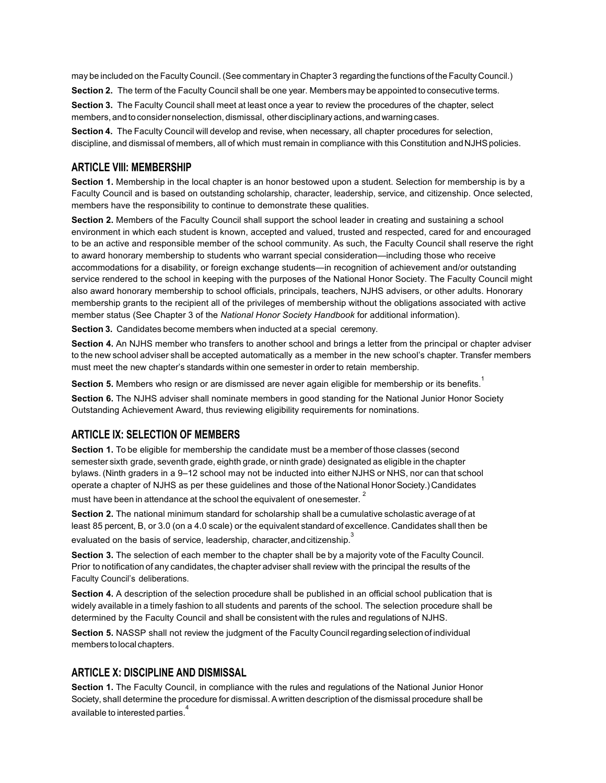may be included on the Faculty Council. (See commentary in Chapter 3 regarding the functions of the Faculty Council.)

**Section 2.** The term of the Faculty Council shall be one year. Members may be appointed to consecutive terms.

**Section 3.** The Faculty Council shall meet at least once a year to review the procedures of the chapter, select members,and to consider nonselection, dismissal, other disciplinary actions, andwarning cases.

**Section 4.** The Faculty Council will develop and revise, when necessary, all chapter procedures for selection, discipline, and dismissal of members, all of which must remain in compliance with this Constitution andNJHSpolicies.

## **ARTICLE VIII: MEMBERSHIP**

**Section 1.** Membership in the local chapter is an honor bestowed upon a student. Selection for membership is by a Faculty Council and is based on outstanding scholarship, character, leadership, service, and citizenship. Once selected, members have the responsibility to continue to demonstrate these qualities.

**Section 2.** Members of the Faculty Council shall support the school leader in creating and sustaining a school environment in which each student is known, accepted and valued, trusted and respected, cared for and encouraged to be an active and responsible member of the school community. As such, the Faculty Council shall reserve the right to award honorary membership to students who warrant special consideration—including those who receive accommodations for a disability, or foreign exchange students—in recognition of achievement and/or outstanding service rendered to the school in keeping with the purposes of the National Honor Society. The Faculty Council might also award honorary membership to school officials, principals, teachers, NJHS advisers, or other adults. Honorary membership grants to the recipient all of the privileges of membership without the obligations associated with active member status (See Chapter 3 of the *National Honor Society Handbook* for additional information).

**Section 3.** Candidates become members when inducted at a special ceremony.

**Section 4.** An NJHS member who transfers to another school and brings a letter from the principal or chapter adviser to the new school adviser shall be accepted automatically as a member in the new school's chapter. Transfer members must meet the new chapter's standards within one semester in order to retain membership.

**Section 5.** Members who resign or are dismissed are never again eligible for membership or its benefits.<sup>1</sup>

**Section 6.** The NJHS adviser shall nominate members in good standing for the National Junior Honor Society Outstanding Achievement Award, thus reviewing eligibility requirements for nominations.

# **ARTICLE IX: SELECTION OF MEMBERS**

**Section 1.** To be eligible for membership the candidate must be a member of those classes (second semester sixth grade, seventh grade, eighth grade, or ninth grade) designated as eligible in the chapter bylaws. (Ninth graders in a 9–12 school may not be inducted into either NJHS or NHS, nor can that school operate a chapter of NJHS as per these guidelines and those of the National Honor Society.)Candidates must have been in attendance at the school the equivalent of one semester.

**Section 2.** The national minimum standard for scholarship shall be a cumulative scholastic average of at least 85 percent, B, or 3.0 (on a 4.0 scale) or the equivalent standard of excellence. Candidates shall then be evaluated on the basis of service, leadership, character, and citizenship.<sup>3</sup>

**Section 3.** The selection of each member to the chapter shall be by a majority vote of the Faculty Council. Prior to notification of any candidates, the chapter adviser shall review with the principal the results of the Faculty Council's deliberations.

**Section 4.** A description of the selection procedure shall be published in an official school publication that is widely available in a timely fashion to all students and parents of the school. The selection procedure shall be determined by the Faculty Council and shall be consistent with the rules and regulations of NJHS.

**Section 5.** NASSP shall not review the judgment of the Faculty Councilregardingselection of individual members tolocal chapters.

### **ARTICLE X: DISCIPLINE AND DISMISSAL**

Section 1. The Faculty Council, in compliance with the rules and regulations of the National Junior Honor Society, shall determine the procedure for dismissal.A written description of the dismissal procedure shall be available to interested parties.<sup>4</sup>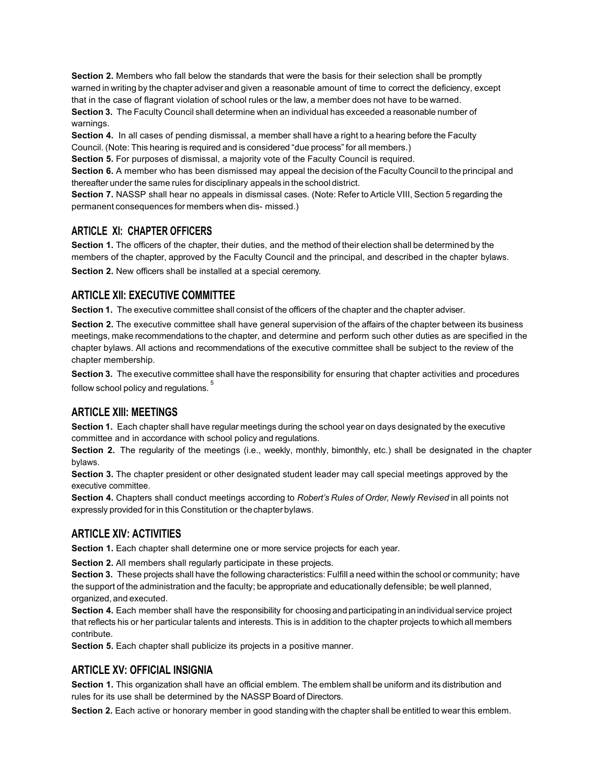**Section 2.** Members who fall below the standards that were the basis for their selection shall be promptly warned in writing by the chapter adviser and given a reasonable amount of time to correct the deficiency, except that in the case of flagrant violation of school rules or the law, a member does not have to be warned. **Section 3.** The Faculty Council shall determine when an individual has exceeded a reasonable number of warnings.

**Section 4.** In all cases of pending dismissal, a member shall have a right to a hearing before the Faculty Council. (Note: This hearing is required and is considered "due process" for all members.)

**Section 5.** For purposes of dismissal, a majority vote of the Faculty Council is required.

**Section 6.** A member who has been dismissed may appeal the decision of the Faculty Council to the principal and thereafter under the same rules for disciplinary appeals in the school district.

**Section 7.** NASSP shall hear no appeals in dismissal cases. (Note: Refer to Article VIII, Section 5 regarding the permanent consequences for members when dis- missed.)

# **ARTICLE XI: CHAPTER OFFICERS**

**Section 1.** The officers of the chapter, their duties, and the method of their election shall be determined by the members of the chapter, approved by the Faculty Council and the principal, and described in the chapter bylaws. **Section 2.** New officers shall be installed at a special ceremony.

# **ARTICLE XII: EXECUTIVE COMMITTEE**

**Section 1.** The executive committee shall consist of the officers of the chapter and the chapter adviser.

**Section 2.** The executive committee shall have general supervision of the affairs of the chapter between its business meetings, make recommendations to the chapter, and determine and perform such other duties as are specified in the chapter bylaws. All actions and recommendations of the executive committee shall be subject to the review of the chapter membership.

**Section 3.** The executive committee shall have the responsibility for ensuring that chapter activities and procedures follow school policy and regulations.

# **ARTICLE XIII: MEETINGS**

**Section 1.** Each chapter shall have regular meetings during the school year on days designated by the executive committee and in accordance with school policy and regulations.

**Section 2.** The regularity of the meetings (i.e., weekly, monthly, bimonthly, etc.) shall be designated in the chapter bylaws.

**Section 3.** The chapter president or other designated student leader may call special meetings approved by the executive committee.

**Section 4.** Chapters shall conduct meetings according to *Robert's Rules of Order, Newly Revised* in all points not expressly provided for in this Constitution or thechapterbylaws.

# **ARTICLE XIV: ACTIVITIES**

Section 1. Each chapter shall determine one or more service projects for each year.

**Section 2.** All members shall regularly participate in these projects.

**Section 3.** These projects shall have the following characteristics: Fulfill a need within the school or community; have the support of the administration and the faculty; be appropriate and educationally defensible; be well planned, organized, and executed.

**Section 4.** Each member shall have the responsibility for choosing and participating in an individual service project that reflects his or her particular talents and interests. This is in addition to the chapter projects to which all members contribute.

**Section 5.** Each chapter shall publicize its projects in a positive manner.

# **ARTICLE XV: OFFICIAL INSIGNIA**

**Section 1.** This organization shall have an official emblem. The emblem shall be uniform and its distribution and rules for its use shall be determined by the NASSP Board of Directors.

**Section 2.** Each active or honorary member in good standing with the chapter shall be entitled to wear this emblem.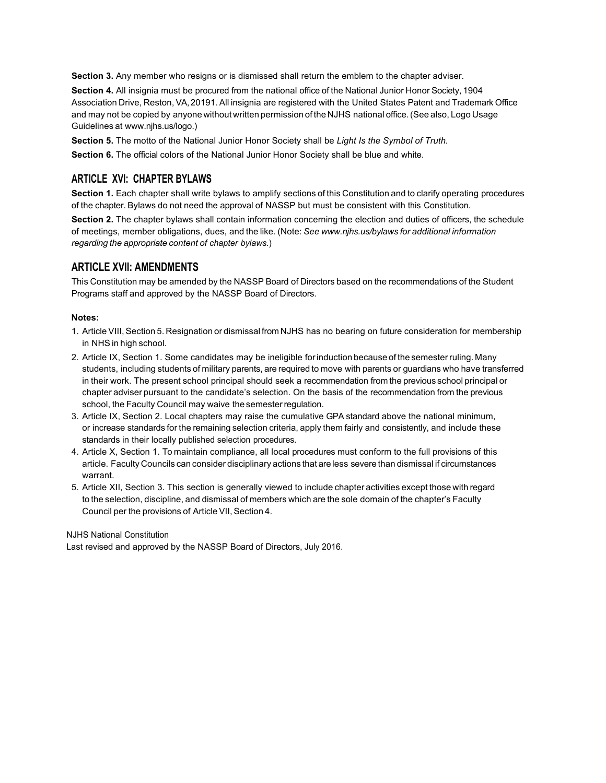**Section 3.** Any member who resigns or is dismissed shall return the emblem to the chapter adviser.

**Section 4.** All insignia must be procured from the national office of the National Junior Honor Society, 1904 Association Drive, Reston, VA, 20191. All insignia are registered with the United States Patent and Trademark Office and may not be copied by anyone without written permission of the NJHS national office.(See also, Logo Usage Guidelines at www.njhs.us/logo.)

**Section 5.** The motto of the National Junior Honor Society shall be *Light Is the Symbol of Truth.*

**Section 6.** The official colors of the National Junior Honor Society shall be blue and white.

## **ARTICLE XVI: CHAPTER BYLAWS**

**Section 1.** Each chapter shall write bylaws to amplify sections of this Constitution and to clarify operating procedures of the chapter. Bylaws do not need the approval of NASSP but must be consistent with this Constitution.

**Section 2.** The chapter bylaws shall contain information concerning the election and duties of officers, the schedule of meetings, member obligations, dues, and the like. (Note: *See www.njhs.us/bylaws for additional information regarding the appropriate content of chapter bylaws.*)

### **ARTICLE XVII: AMENDMENTS**

This Constitution may be amended by the NASSP Board of Directors based on the recommendations of the Student Programs staff and approved by the NASSP Board of Directors.

#### **Notes:**

- 1. Article VIII, Section 5. Resignation or dismissal from NJHS has no bearing on future consideration for membership in NHS in high school.
- 2. Article IX, Section 1. Some candidates may be ineligible forinduction because of the semesterruling. Many students, including students of military parents, are required to move with parents or guardians who have transferred in their work. The present school principal should seek a recommendation from the previous school principal or chapter adviser pursuant to the candidate's selection. On the basis of the recommendation from the previous school, the Faculty Council may waive the semester regulation.
- 3. Article IX, Section 2. Local chapters may raise the cumulative GPA standard above the national minimum, or increase standards for the remaining selection criteria, apply them fairly and consistently, and include these standards in their locally published selection procedures.
- 4. Article X, Section 1. To maintain compliance, all local procedures must conform to the full provisions of this article. Faculty Councils can consider disciplinary actions that are less severe than dismissal if circumstances warrant.
- 5. Article XII, Section 3. This section is generally viewed to include chapter activities except those with regard to the selection, discipline, and dismissal of members which are the sole domain of the chapter's Faculty Council per the provisions of Article VII, Section 4.

#### NJHS National Constitution

Last revised and approved by the NASSP Board of Directors, July 2016.